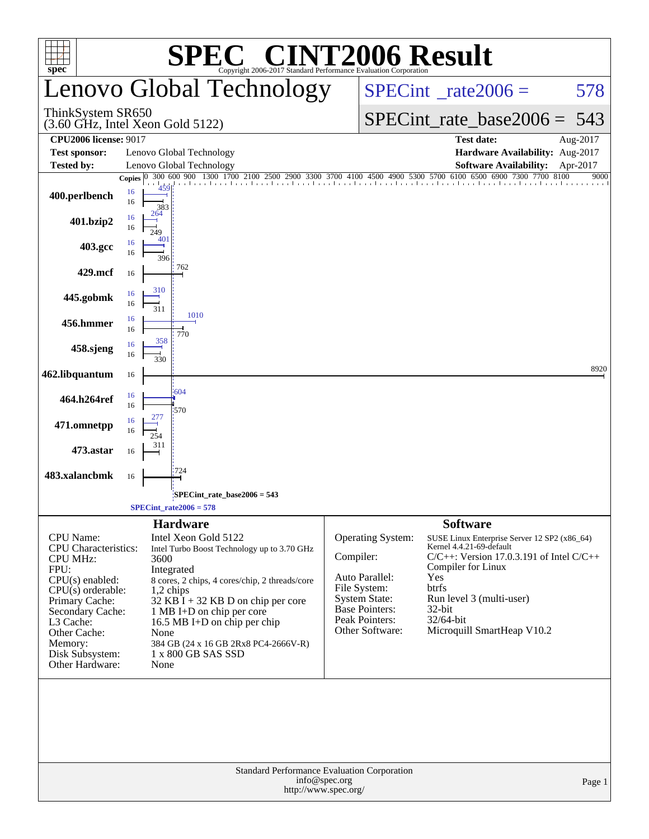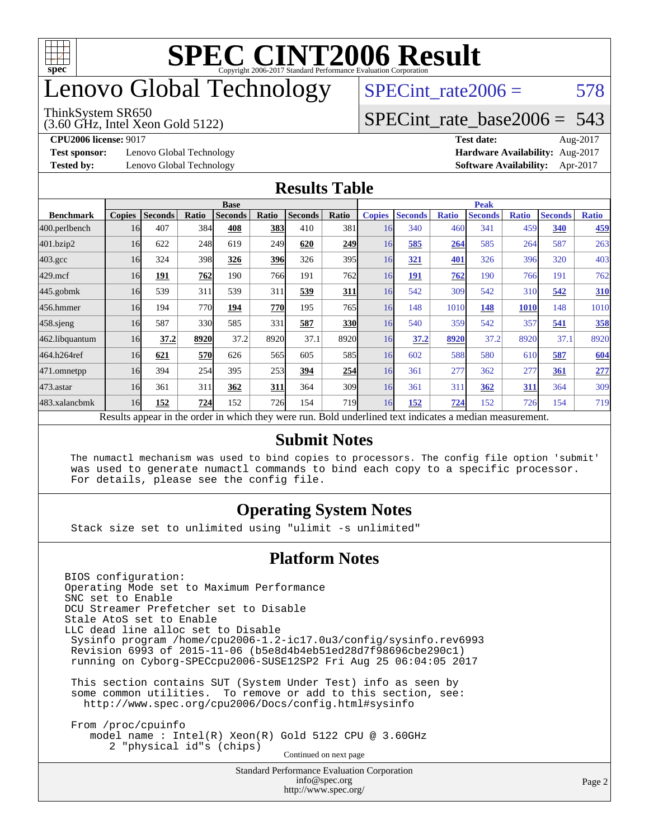

### enovo Global Technology

#### ThinkSystem SR650

(3.60 GHz, Intel Xeon Gold 5122)

 $SPECTnt_rate2006 = 578$ [SPECint\\_rate\\_base2006 =](http://www.spec.org/auto/cpu2006/Docs/result-fields.html#SPECintratebase2006) 543

**[Test sponsor:](http://www.spec.org/auto/cpu2006/Docs/result-fields.html#Testsponsor)** Lenovo Global Technology **[Hardware Availability:](http://www.spec.org/auto/cpu2006/Docs/result-fields.html#HardwareAvailability)** Aug-2017

**[CPU2006 license:](http://www.spec.org/auto/cpu2006/Docs/result-fields.html#CPU2006license)** 9017 **[Test date:](http://www.spec.org/auto/cpu2006/Docs/result-fields.html#Testdate)** Aug-2017 **[Tested by:](http://www.spec.org/auto/cpu2006/Docs/result-fields.html#Testedby)** Lenovo Global Technology **[Software Availability:](http://www.spec.org/auto/cpu2006/Docs/result-fields.html#SoftwareAvailability)** Apr-2017

#### **[Results Table](http://www.spec.org/auto/cpu2006/Docs/result-fields.html#ResultsTable)**

|                  | <b>Base</b>   |                |            |                                                                                                          |       |                |                  | <b>Peak</b>   |                |              |                |              |                |              |
|------------------|---------------|----------------|------------|----------------------------------------------------------------------------------------------------------|-------|----------------|------------------|---------------|----------------|--------------|----------------|--------------|----------------|--------------|
| <b>Benchmark</b> | <b>Copies</b> | <b>Seconds</b> | Ratio      | <b>Seconds</b>                                                                                           | Ratio | <b>Seconds</b> | Ratio            | <b>Copies</b> | <b>Seconds</b> | <b>Ratio</b> | <b>Seconds</b> | <b>Ratio</b> | <b>Seconds</b> | <b>Ratio</b> |
| 400.perlbench    | 16            | 407            | 384        | 408                                                                                                      | 383   | 410            | 381              | 16            | 340            | 460          | 341            | 459          | 340            | 459          |
| 401.bzip2        | 16            | 622            | 248        | 619                                                                                                      | 249   | 620            | 249              | 16            | 585            | 264          | 585            | 264          | 587            | 263          |
| $403.\text{gcc}$ | 16            | 324            | 398        | 326                                                                                                      | 396   | 326            | 395              | 16            | 321            | 401          | 326            | 396          | 320            | 403          |
| $429$ .mcf       | 16            | 191            | 762        | 190                                                                                                      | 766   | 191            | 762              | 16            | 191            | 762          | 190            | 766          | 191            | 762          |
| $445$ .gobmk     | 16            | 539            | 311        | 539                                                                                                      | 311   | 539            | <b>311</b>       | 16            | 542            | 309          | 542            | 310          | 542            | 310          |
| 456.hmmer        | 16            | 194            | 770        | 194                                                                                                      | 770   | 195            | 765              | 16            | 148            | 1010         | 148            | <b>1010</b>  | 148            | 1010         |
| $458$ .sjeng     | 16            | 587            | 330        | 585                                                                                                      | 331   | 587            | 330              | 16            | 540            | 359          | 542            | 357          | 541            | 358          |
| 462.libquantum   | 16            | 37.2           | 8920       | 37.2                                                                                                     | 8920  | 37.1           | 8920             | 16            | 37.2           | 8920         | 37.2           | 8920         | 37.1           | 8920         |
| 464.h264ref      | 16            | 621            | <b>570</b> | 626                                                                                                      | 565   | 605            | 585              | 16            | 602            | 588          | 580            | 610          | 587            | 604          |
| 471.omnetpp      | 16            | 394            | 254        | 395                                                                                                      | 253   | 394            | 254              | 16            | 361            | 277          | 362            | 277          | <u>361</u>     | 277          |
| $473$ . astar    | 16            | 361            | 311        | 362                                                                                                      | 311   | 364            | 309              | 16            | 361            | 311          | 362            | <u>311</u>   | 364            | 309          |
| 483.xalancbmk    | 16            | 152            | 724        | 152                                                                                                      | 726   | 154            | 719 <sub>1</sub> | 16            | 152            | 724          | 152            | 726          | 154            | 719          |
|                  |               |                |            | Results appear in the order in which they were run. Bold underlined text indicates a median measurement. |       |                |                  |               |                |              |                |              |                |              |

#### **[Submit Notes](http://www.spec.org/auto/cpu2006/Docs/result-fields.html#SubmitNotes)**

 The numactl mechanism was used to bind copies to processors. The config file option 'submit' was used to generate numactl commands to bind each copy to a specific processor. For details, please see the config file.

#### **[Operating System Notes](http://www.spec.org/auto/cpu2006/Docs/result-fields.html#OperatingSystemNotes)**

Stack size set to unlimited using "ulimit -s unlimited"

#### **[Platform Notes](http://www.spec.org/auto/cpu2006/Docs/result-fields.html#PlatformNotes)**

Standard Performance Evaluation Corporation BIOS configuration: Operating Mode set to Maximum Performance SNC set to Enable DCU Streamer Prefetcher set to Disable Stale AtoS set to Enable LLC dead line alloc set to Disable Sysinfo program /home/cpu2006-1.2-ic17.0u3/config/sysinfo.rev6993 Revision 6993 of 2015-11-06 (b5e8d4b4eb51ed28d7f98696cbe290c1) running on Cyborg-SPECcpu2006-SUSE12SP2 Fri Aug 25 06:04:05 2017 This section contains SUT (System Under Test) info as seen by some common utilities. To remove or add to this section, see: <http://www.spec.org/cpu2006/Docs/config.html#sysinfo> From /proc/cpuinfo model name : Intel(R) Xeon(R) Gold 5122 CPU @ 3.60GHz 2 "physical id"s (chips) Continued on next page

[info@spec.org](mailto:info@spec.org) <http://www.spec.org/>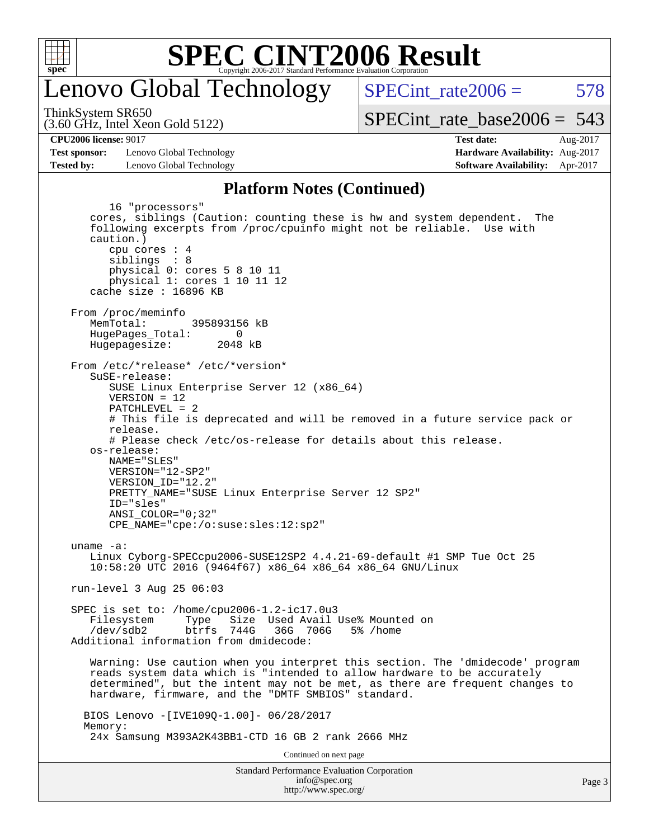

#### enovo Global Technology

SPECint rate $2006 = 578$ 

(3.60 GHz, Intel Xeon Gold 5122) ThinkSystem SR650

**[Test sponsor:](http://www.spec.org/auto/cpu2006/Docs/result-fields.html#Testsponsor)** Lenovo Global Technology **[Hardware Availability:](http://www.spec.org/auto/cpu2006/Docs/result-fields.html#HardwareAvailability)** Aug-2017 **[Tested by:](http://www.spec.org/auto/cpu2006/Docs/result-fields.html#Testedby)** Lenovo Global Technology **[Software Availability:](http://www.spec.org/auto/cpu2006/Docs/result-fields.html#SoftwareAvailability)** Apr-2017

[SPECint\\_rate\\_base2006 =](http://www.spec.org/auto/cpu2006/Docs/result-fields.html#SPECintratebase2006) 543

**[CPU2006 license:](http://www.spec.org/auto/cpu2006/Docs/result-fields.html#CPU2006license)** 9017 **[Test date:](http://www.spec.org/auto/cpu2006/Docs/result-fields.html#Testdate)** Aug-2017

#### **[Platform Notes \(Continued\)](http://www.spec.org/auto/cpu2006/Docs/result-fields.html#PlatformNotes)**

Standard Performance Evaluation Corporation [info@spec.org](mailto:info@spec.org) 16 "processors" cores, siblings (Caution: counting these is hw and system dependent. The following excerpts from /proc/cpuinfo might not be reliable. Use with caution.) cpu cores : 4 siblings : 8 physical 0: cores 5 8 10 11 physical 1: cores 1 10 11 12 cache size : 16896 KB From /proc/meminfo MemTotal: 395893156 kB HugePages\_Total: 0<br>Hugepagesize: 2048 kB Hugepagesize: From /etc/\*release\* /etc/\*version\* SuSE-release: SUSE Linux Enterprise Server 12 (x86\_64) VERSION = 12 PATCHLEVEL = 2 # This file is deprecated and will be removed in a future service pack or release. # Please check /etc/os-release for details about this release. os-release: NAME="SLES" VERSION="12-SP2" VERSION\_ID="12.2" PRETTY\_NAME="SUSE Linux Enterprise Server 12 SP2" ID="sles" ANSI\_COLOR="0;32" CPE\_NAME="cpe:/o:suse:sles:12:sp2" uname -a: Linux Cyborg-SPECcpu2006-SUSE12SP2 4.4.21-69-default #1 SMP Tue Oct 25 10:58:20 UTC 2016 (9464f67) x86\_64 x86\_64 x86\_64 GNU/Linux run-level 3 Aug 25 06:03 SPEC is set to: /home/cpu2006-1.2-ic17.0u3 Filesystem Type Size Used Avail Use% Mounted on /dev/sdb2 btrfs 744G 36G 706G 5% /home Additional information from dmidecode: Warning: Use caution when you interpret this section. The 'dmidecode' program reads system data which is "intended to allow hardware to be accurately determined", but the intent may not be met, as there are frequent changes to hardware, firmware, and the "DMTF SMBIOS" standard. BIOS Lenovo -[IVE109Q-1.00]- 06/28/2017 Memory: 24x Samsung M393A2K43BB1-CTD 16 GB 2 rank 2666 MHz Continued on next page

<http://www.spec.org/>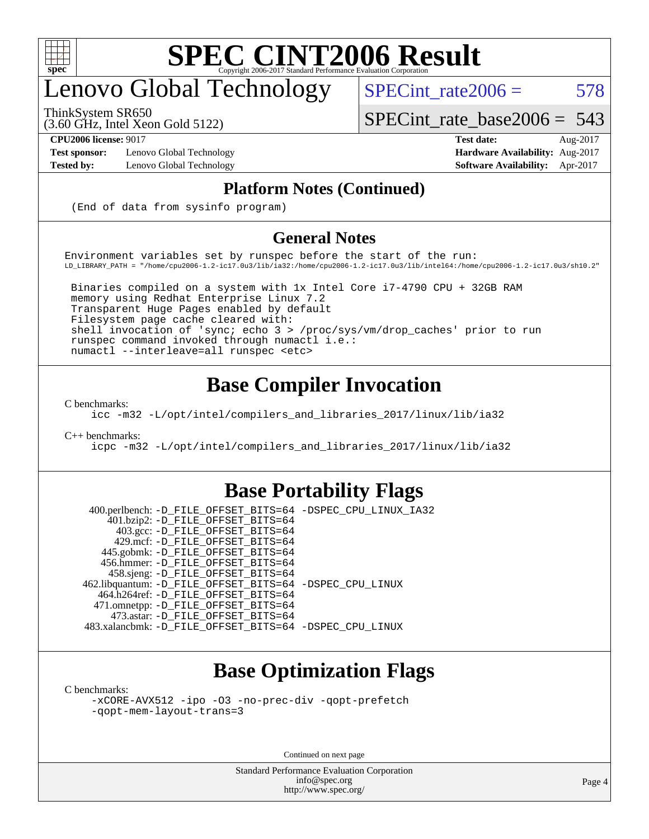

## enovo Global Technology

ThinkSystem SR650

 $SPECTnt_rate2006 = 578$ [SPECint\\_rate\\_base2006 =](http://www.spec.org/auto/cpu2006/Docs/result-fields.html#SPECintratebase2006) 543

(3.60 GHz, Intel Xeon Gold 5122)

**[Test sponsor:](http://www.spec.org/auto/cpu2006/Docs/result-fields.html#Testsponsor)** Lenovo Global Technology **[Hardware Availability:](http://www.spec.org/auto/cpu2006/Docs/result-fields.html#HardwareAvailability)** Aug-2017

**[CPU2006 license:](http://www.spec.org/auto/cpu2006/Docs/result-fields.html#CPU2006license)** 9017 **[Test date:](http://www.spec.org/auto/cpu2006/Docs/result-fields.html#Testdate)** Aug-2017 **[Tested by:](http://www.spec.org/auto/cpu2006/Docs/result-fields.html#Testedby)** Lenovo Global Technology **[Software Availability:](http://www.spec.org/auto/cpu2006/Docs/result-fields.html#SoftwareAvailability)** Apr-2017

#### **[Platform Notes \(Continued\)](http://www.spec.org/auto/cpu2006/Docs/result-fields.html#PlatformNotes)**

(End of data from sysinfo program)

#### **[General Notes](http://www.spec.org/auto/cpu2006/Docs/result-fields.html#GeneralNotes)**

Environment variables set by runspec before the start of the run: LD\_LIBRARY\_PATH = "/home/cpu2006-1.2-ic17.0u3/lib/ia32:/home/cpu2006-1.2-ic17.0u3/lib/intel64:/home/cpu2006-1.2-ic17.0u3/sh10.2"

 Binaries compiled on a system with 1x Intel Core i7-4790 CPU + 32GB RAM memory using Redhat Enterprise Linux 7.2 Transparent Huge Pages enabled by default Filesystem page cache cleared with: shell invocation of 'sync; echo 3 > /proc/sys/vm/drop\_caches' prior to run runspec command invoked through numactl i.e.: numactl --interleave=all runspec <etc>

#### **[Base Compiler Invocation](http://www.spec.org/auto/cpu2006/Docs/result-fields.html#BaseCompilerInvocation)**

[C benchmarks](http://www.spec.org/auto/cpu2006/Docs/result-fields.html#Cbenchmarks):

[icc -m32 -L/opt/intel/compilers\\_and\\_libraries\\_2017/linux/lib/ia32](http://www.spec.org/cpu2006/results/res2017q4/cpu2006-20170918-49715.flags.html#user_CCbase_intel_icc_c29f3ff5a7ed067b11e4ec10a03f03ae)

[C++ benchmarks:](http://www.spec.org/auto/cpu2006/Docs/result-fields.html#CXXbenchmarks)

[icpc -m32 -L/opt/intel/compilers\\_and\\_libraries\\_2017/linux/lib/ia32](http://www.spec.org/cpu2006/results/res2017q4/cpu2006-20170918-49715.flags.html#user_CXXbase_intel_icpc_8c35c7808b62dab9ae41a1aa06361b6b)

#### **[Base Portability Flags](http://www.spec.org/auto/cpu2006/Docs/result-fields.html#BasePortabilityFlags)**

 400.perlbench: [-D\\_FILE\\_OFFSET\\_BITS=64](http://www.spec.org/cpu2006/results/res2017q4/cpu2006-20170918-49715.flags.html#user_basePORTABILITY400_perlbench_file_offset_bits_64_438cf9856305ebd76870a2c6dc2689ab) [-DSPEC\\_CPU\\_LINUX\\_IA32](http://www.spec.org/cpu2006/results/res2017q4/cpu2006-20170918-49715.flags.html#b400.perlbench_baseCPORTABILITY_DSPEC_CPU_LINUX_IA32) 401.bzip2: [-D\\_FILE\\_OFFSET\\_BITS=64](http://www.spec.org/cpu2006/results/res2017q4/cpu2006-20170918-49715.flags.html#user_basePORTABILITY401_bzip2_file_offset_bits_64_438cf9856305ebd76870a2c6dc2689ab) 403.gcc: [-D\\_FILE\\_OFFSET\\_BITS=64](http://www.spec.org/cpu2006/results/res2017q4/cpu2006-20170918-49715.flags.html#user_basePORTABILITY403_gcc_file_offset_bits_64_438cf9856305ebd76870a2c6dc2689ab) 429.mcf: [-D\\_FILE\\_OFFSET\\_BITS=64](http://www.spec.org/cpu2006/results/res2017q4/cpu2006-20170918-49715.flags.html#user_basePORTABILITY429_mcf_file_offset_bits_64_438cf9856305ebd76870a2c6dc2689ab) 445.gobmk: [-D\\_FILE\\_OFFSET\\_BITS=64](http://www.spec.org/cpu2006/results/res2017q4/cpu2006-20170918-49715.flags.html#user_basePORTABILITY445_gobmk_file_offset_bits_64_438cf9856305ebd76870a2c6dc2689ab) 456.hmmer: [-D\\_FILE\\_OFFSET\\_BITS=64](http://www.spec.org/cpu2006/results/res2017q4/cpu2006-20170918-49715.flags.html#user_basePORTABILITY456_hmmer_file_offset_bits_64_438cf9856305ebd76870a2c6dc2689ab) 458.sjeng: [-D\\_FILE\\_OFFSET\\_BITS=64](http://www.spec.org/cpu2006/results/res2017q4/cpu2006-20170918-49715.flags.html#user_basePORTABILITY458_sjeng_file_offset_bits_64_438cf9856305ebd76870a2c6dc2689ab) 462.libquantum: [-D\\_FILE\\_OFFSET\\_BITS=64](http://www.spec.org/cpu2006/results/res2017q4/cpu2006-20170918-49715.flags.html#user_basePORTABILITY462_libquantum_file_offset_bits_64_438cf9856305ebd76870a2c6dc2689ab) [-DSPEC\\_CPU\\_LINUX](http://www.spec.org/cpu2006/results/res2017q4/cpu2006-20170918-49715.flags.html#b462.libquantum_baseCPORTABILITY_DSPEC_CPU_LINUX) 464.h264ref: [-D\\_FILE\\_OFFSET\\_BITS=64](http://www.spec.org/cpu2006/results/res2017q4/cpu2006-20170918-49715.flags.html#user_basePORTABILITY464_h264ref_file_offset_bits_64_438cf9856305ebd76870a2c6dc2689ab) 471.omnetpp: [-D\\_FILE\\_OFFSET\\_BITS=64](http://www.spec.org/cpu2006/results/res2017q4/cpu2006-20170918-49715.flags.html#user_basePORTABILITY471_omnetpp_file_offset_bits_64_438cf9856305ebd76870a2c6dc2689ab) 473.astar: [-D\\_FILE\\_OFFSET\\_BITS=64](http://www.spec.org/cpu2006/results/res2017q4/cpu2006-20170918-49715.flags.html#user_basePORTABILITY473_astar_file_offset_bits_64_438cf9856305ebd76870a2c6dc2689ab) 483.xalancbmk: [-D\\_FILE\\_OFFSET\\_BITS=64](http://www.spec.org/cpu2006/results/res2017q4/cpu2006-20170918-49715.flags.html#user_basePORTABILITY483_xalancbmk_file_offset_bits_64_438cf9856305ebd76870a2c6dc2689ab) [-DSPEC\\_CPU\\_LINUX](http://www.spec.org/cpu2006/results/res2017q4/cpu2006-20170918-49715.flags.html#b483.xalancbmk_baseCXXPORTABILITY_DSPEC_CPU_LINUX)

#### **[Base Optimization Flags](http://www.spec.org/auto/cpu2006/Docs/result-fields.html#BaseOptimizationFlags)**

[C benchmarks](http://www.spec.org/auto/cpu2006/Docs/result-fields.html#Cbenchmarks):

[-xCORE-AVX512](http://www.spec.org/cpu2006/results/res2017q4/cpu2006-20170918-49715.flags.html#user_CCbase_f-xCORE-AVX512) [-ipo](http://www.spec.org/cpu2006/results/res2017q4/cpu2006-20170918-49715.flags.html#user_CCbase_f-ipo) [-O3](http://www.spec.org/cpu2006/results/res2017q4/cpu2006-20170918-49715.flags.html#user_CCbase_f-O3) [-no-prec-div](http://www.spec.org/cpu2006/results/res2017q4/cpu2006-20170918-49715.flags.html#user_CCbase_f-no-prec-div) [-qopt-prefetch](http://www.spec.org/cpu2006/results/res2017q4/cpu2006-20170918-49715.flags.html#user_CCbase_f-qopt-prefetch) [-qopt-mem-layout-trans=3](http://www.spec.org/cpu2006/results/res2017q4/cpu2006-20170918-49715.flags.html#user_CCbase_f-qopt-mem-layout-trans_170f5be61cd2cedc9b54468c59262d5d)

Continued on next page

Standard Performance Evaluation Corporation [info@spec.org](mailto:info@spec.org) <http://www.spec.org/>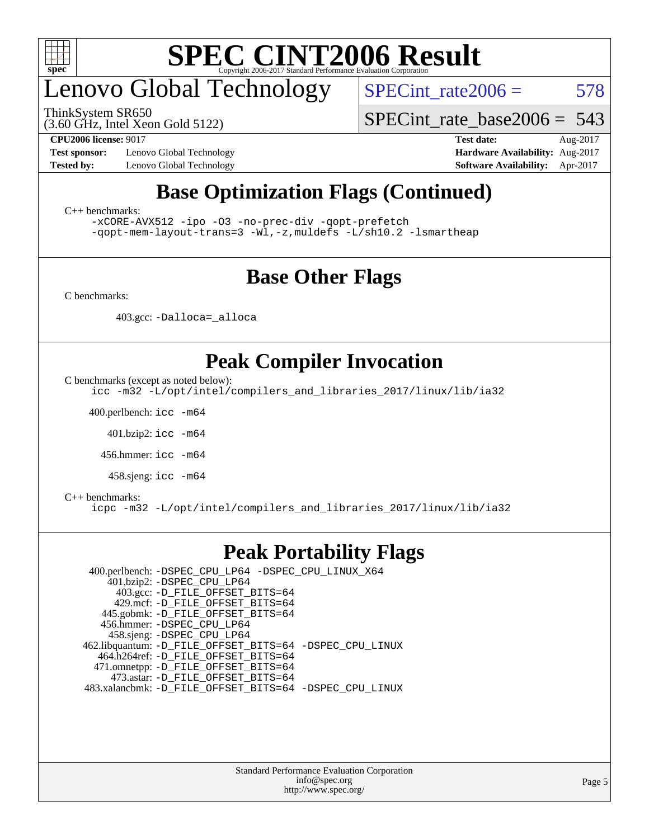

## enovo Global Technology

(3.60 GHz, Intel Xeon Gold 5122) ThinkSystem SR650

 $SPECTnt_rate2006 = 578$ 

[SPECint\\_rate\\_base2006 =](http://www.spec.org/auto/cpu2006/Docs/result-fields.html#SPECintratebase2006) 543

**[Test sponsor:](http://www.spec.org/auto/cpu2006/Docs/result-fields.html#Testsponsor)** Lenovo Global Technology **[Hardware Availability:](http://www.spec.org/auto/cpu2006/Docs/result-fields.html#HardwareAvailability)** Aug-2017

**[CPU2006 license:](http://www.spec.org/auto/cpu2006/Docs/result-fields.html#CPU2006license)** 9017 **[Test date:](http://www.spec.org/auto/cpu2006/Docs/result-fields.html#Testdate)** Aug-2017 **[Tested by:](http://www.spec.org/auto/cpu2006/Docs/result-fields.html#Testedby)** Lenovo Global Technology **[Software Availability:](http://www.spec.org/auto/cpu2006/Docs/result-fields.html#SoftwareAvailability)** Apr-2017

#### **[Base Optimization Flags \(Continued\)](http://www.spec.org/auto/cpu2006/Docs/result-fields.html#BaseOptimizationFlags)**

[C++ benchmarks:](http://www.spec.org/auto/cpu2006/Docs/result-fields.html#CXXbenchmarks)

[-xCORE-AVX512](http://www.spec.org/cpu2006/results/res2017q4/cpu2006-20170918-49715.flags.html#user_CXXbase_f-xCORE-AVX512) [-ipo](http://www.spec.org/cpu2006/results/res2017q4/cpu2006-20170918-49715.flags.html#user_CXXbase_f-ipo) [-O3](http://www.spec.org/cpu2006/results/res2017q4/cpu2006-20170918-49715.flags.html#user_CXXbase_f-O3) [-no-prec-div](http://www.spec.org/cpu2006/results/res2017q4/cpu2006-20170918-49715.flags.html#user_CXXbase_f-no-prec-div) [-qopt-prefetch](http://www.spec.org/cpu2006/results/res2017q4/cpu2006-20170918-49715.flags.html#user_CXXbase_f-qopt-prefetch) [-qopt-mem-layout-trans=3](http://www.spec.org/cpu2006/results/res2017q4/cpu2006-20170918-49715.flags.html#user_CXXbase_f-qopt-mem-layout-trans_170f5be61cd2cedc9b54468c59262d5d) [-Wl,-z,muldefs](http://www.spec.org/cpu2006/results/res2017q4/cpu2006-20170918-49715.flags.html#user_CXXbase_link_force_multiple1_74079c344b956b9658436fd1b6dd3a8a) [-L/sh10.2 -lsmartheap](http://www.spec.org/cpu2006/results/res2017q4/cpu2006-20170918-49715.flags.html#user_CXXbase_SmartHeap_b831f2d313e2fffa6dfe3f00ffc1f1c0)

#### **[Base Other Flags](http://www.spec.org/auto/cpu2006/Docs/result-fields.html#BaseOtherFlags)**

[C benchmarks](http://www.spec.org/auto/cpu2006/Docs/result-fields.html#Cbenchmarks):

403.gcc: [-Dalloca=\\_alloca](http://www.spec.org/cpu2006/results/res2017q4/cpu2006-20170918-49715.flags.html#b403.gcc_baseEXTRA_CFLAGS_Dalloca_be3056838c12de2578596ca5467af7f3)

#### **[Peak Compiler Invocation](http://www.spec.org/auto/cpu2006/Docs/result-fields.html#PeakCompilerInvocation)**

[C benchmarks \(except as noted below\)](http://www.spec.org/auto/cpu2006/Docs/result-fields.html#Cbenchmarksexceptasnotedbelow):

[icc -m32 -L/opt/intel/compilers\\_and\\_libraries\\_2017/linux/lib/ia32](http://www.spec.org/cpu2006/results/res2017q4/cpu2006-20170918-49715.flags.html#user_CCpeak_intel_icc_c29f3ff5a7ed067b11e4ec10a03f03ae)

400.perlbench: [icc -m64](http://www.spec.org/cpu2006/results/res2017q4/cpu2006-20170918-49715.flags.html#user_peakCCLD400_perlbench_intel_icc_64bit_bda6cc9af1fdbb0edc3795bac97ada53)

401.bzip2: [icc -m64](http://www.spec.org/cpu2006/results/res2017q4/cpu2006-20170918-49715.flags.html#user_peakCCLD401_bzip2_intel_icc_64bit_bda6cc9af1fdbb0edc3795bac97ada53)

456.hmmer: [icc -m64](http://www.spec.org/cpu2006/results/res2017q4/cpu2006-20170918-49715.flags.html#user_peakCCLD456_hmmer_intel_icc_64bit_bda6cc9af1fdbb0edc3795bac97ada53)

458.sjeng: [icc -m64](http://www.spec.org/cpu2006/results/res2017q4/cpu2006-20170918-49715.flags.html#user_peakCCLD458_sjeng_intel_icc_64bit_bda6cc9af1fdbb0edc3795bac97ada53)

#### [C++ benchmarks:](http://www.spec.org/auto/cpu2006/Docs/result-fields.html#CXXbenchmarks)

[icpc -m32 -L/opt/intel/compilers\\_and\\_libraries\\_2017/linux/lib/ia32](http://www.spec.org/cpu2006/results/res2017q4/cpu2006-20170918-49715.flags.html#user_CXXpeak_intel_icpc_8c35c7808b62dab9ae41a1aa06361b6b)

#### **[Peak Portability Flags](http://www.spec.org/auto/cpu2006/Docs/result-fields.html#PeakPortabilityFlags)**

 400.perlbench: [-DSPEC\\_CPU\\_LP64](http://www.spec.org/cpu2006/results/res2017q4/cpu2006-20170918-49715.flags.html#b400.perlbench_peakCPORTABILITY_DSPEC_CPU_LP64) [-DSPEC\\_CPU\\_LINUX\\_X64](http://www.spec.org/cpu2006/results/res2017q4/cpu2006-20170918-49715.flags.html#b400.perlbench_peakCPORTABILITY_DSPEC_CPU_LINUX_X64) 401.bzip2: [-DSPEC\\_CPU\\_LP64](http://www.spec.org/cpu2006/results/res2017q4/cpu2006-20170918-49715.flags.html#suite_peakCPORTABILITY401_bzip2_DSPEC_CPU_LP64) 403.gcc: [-D\\_FILE\\_OFFSET\\_BITS=64](http://www.spec.org/cpu2006/results/res2017q4/cpu2006-20170918-49715.flags.html#user_peakPORTABILITY403_gcc_file_offset_bits_64_438cf9856305ebd76870a2c6dc2689ab) 429.mcf: [-D\\_FILE\\_OFFSET\\_BITS=64](http://www.spec.org/cpu2006/results/res2017q4/cpu2006-20170918-49715.flags.html#user_peakPORTABILITY429_mcf_file_offset_bits_64_438cf9856305ebd76870a2c6dc2689ab) 445.gobmk: [-D\\_FILE\\_OFFSET\\_BITS=64](http://www.spec.org/cpu2006/results/res2017q4/cpu2006-20170918-49715.flags.html#user_peakPORTABILITY445_gobmk_file_offset_bits_64_438cf9856305ebd76870a2c6dc2689ab) 456.hmmer: [-DSPEC\\_CPU\\_LP64](http://www.spec.org/cpu2006/results/res2017q4/cpu2006-20170918-49715.flags.html#suite_peakCPORTABILITY456_hmmer_DSPEC_CPU_LP64) 458.sjeng: [-DSPEC\\_CPU\\_LP64](http://www.spec.org/cpu2006/results/res2017q4/cpu2006-20170918-49715.flags.html#suite_peakCPORTABILITY458_sjeng_DSPEC_CPU_LP64) 462.libquantum: [-D\\_FILE\\_OFFSET\\_BITS=64](http://www.spec.org/cpu2006/results/res2017q4/cpu2006-20170918-49715.flags.html#user_peakPORTABILITY462_libquantum_file_offset_bits_64_438cf9856305ebd76870a2c6dc2689ab) [-DSPEC\\_CPU\\_LINUX](http://www.spec.org/cpu2006/results/res2017q4/cpu2006-20170918-49715.flags.html#b462.libquantum_peakCPORTABILITY_DSPEC_CPU_LINUX) 464.h264ref: [-D\\_FILE\\_OFFSET\\_BITS=64](http://www.spec.org/cpu2006/results/res2017q4/cpu2006-20170918-49715.flags.html#user_peakPORTABILITY464_h264ref_file_offset_bits_64_438cf9856305ebd76870a2c6dc2689ab) 471.omnetpp: [-D\\_FILE\\_OFFSET\\_BITS=64](http://www.spec.org/cpu2006/results/res2017q4/cpu2006-20170918-49715.flags.html#user_peakPORTABILITY471_omnetpp_file_offset_bits_64_438cf9856305ebd76870a2c6dc2689ab) 473.astar: [-D\\_FILE\\_OFFSET\\_BITS=64](http://www.spec.org/cpu2006/results/res2017q4/cpu2006-20170918-49715.flags.html#user_peakPORTABILITY473_astar_file_offset_bits_64_438cf9856305ebd76870a2c6dc2689ab) 483.xalancbmk: [-D\\_FILE\\_OFFSET\\_BITS=64](http://www.spec.org/cpu2006/results/res2017q4/cpu2006-20170918-49715.flags.html#user_peakPORTABILITY483_xalancbmk_file_offset_bits_64_438cf9856305ebd76870a2c6dc2689ab) [-DSPEC\\_CPU\\_LINUX](http://www.spec.org/cpu2006/results/res2017q4/cpu2006-20170918-49715.flags.html#b483.xalancbmk_peakCXXPORTABILITY_DSPEC_CPU_LINUX)

> Standard Performance Evaluation Corporation [info@spec.org](mailto:info@spec.org) <http://www.spec.org/>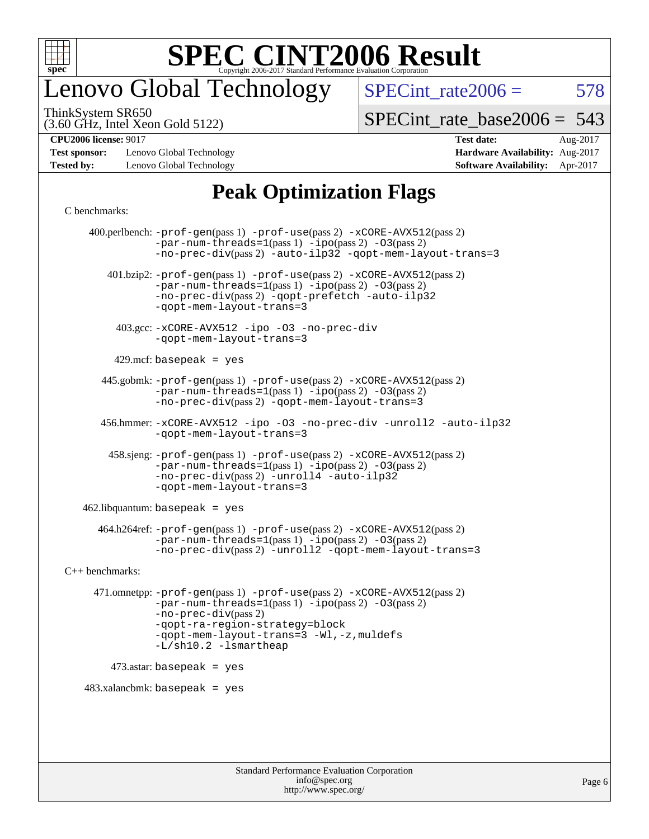

#### enovo Global Technology

 $SPECTnt_rate2006 = 578$ 

(3.60 GHz, Intel Xeon Gold 5122) ThinkSystem SR650

[SPECint\\_rate\\_base2006 =](http://www.spec.org/auto/cpu2006/Docs/result-fields.html#SPECintratebase2006) 543

**[CPU2006 license:](http://www.spec.org/auto/cpu2006/Docs/result-fields.html#CPU2006license)** 9017 **[Test date:](http://www.spec.org/auto/cpu2006/Docs/result-fields.html#Testdate)** Aug-2017

**[Test sponsor:](http://www.spec.org/auto/cpu2006/Docs/result-fields.html#Testsponsor)** Lenovo Global Technology **[Hardware Availability:](http://www.spec.org/auto/cpu2006/Docs/result-fields.html#HardwareAvailability)** Aug-2017 **[Tested by:](http://www.spec.org/auto/cpu2006/Docs/result-fields.html#Testedby)** Lenovo Global Technology **[Software Availability:](http://www.spec.org/auto/cpu2006/Docs/result-fields.html#SoftwareAvailability)** Apr-2017

#### **[Peak Optimization Flags](http://www.spec.org/auto/cpu2006/Docs/result-fields.html#PeakOptimizationFlags)**

#### [C benchmarks](http://www.spec.org/auto/cpu2006/Docs/result-fields.html#Cbenchmarks):

 400.perlbench: [-prof-gen](http://www.spec.org/cpu2006/results/res2017q4/cpu2006-20170918-49715.flags.html#user_peakPASS1_CFLAGSPASS1_LDCFLAGS400_perlbench_prof_gen_e43856698f6ca7b7e442dfd80e94a8fc)(pass 1) [-prof-use](http://www.spec.org/cpu2006/results/res2017q4/cpu2006-20170918-49715.flags.html#user_peakPASS2_CFLAGSPASS2_LDCFLAGS400_perlbench_prof_use_bccf7792157ff70d64e32fe3e1250b55)(pass 2) [-xCORE-AVX512](http://www.spec.org/cpu2006/results/res2017q4/cpu2006-20170918-49715.flags.html#user_peakPASS2_CFLAGSPASS2_LDCFLAGS400_perlbench_f-xCORE-AVX512)(pass 2)  $-par-num-threads=1(pass 1) -ipo(pass 2) -O3(pass 2)$  $-par-num-threads=1(pass 1) -ipo(pass 2) -O3(pass 2)$  $-par-num-threads=1(pass 1) -ipo(pass 2) -O3(pass 2)$  $-par-num-threads=1(pass 1) -ipo(pass 2) -O3(pass 2)$  $-par-num-threads=1(pass 1) -ipo(pass 2) -O3(pass 2)$  $-par-num-threads=1(pass 1) -ipo(pass 2) -O3(pass 2)$ [-no-prec-div](http://www.spec.org/cpu2006/results/res2017q4/cpu2006-20170918-49715.flags.html#user_peakPASS2_CFLAGSPASS2_LDCFLAGS400_perlbench_f-no-prec-div)(pass 2) [-auto-ilp32](http://www.spec.org/cpu2006/results/res2017q4/cpu2006-20170918-49715.flags.html#user_peakCOPTIMIZE400_perlbench_f-auto-ilp32) [-qopt-mem-layout-trans=3](http://www.spec.org/cpu2006/results/res2017q4/cpu2006-20170918-49715.flags.html#user_peakCOPTIMIZE400_perlbench_f-qopt-mem-layout-trans_170f5be61cd2cedc9b54468c59262d5d) 401.bzip2: [-prof-gen](http://www.spec.org/cpu2006/results/res2017q4/cpu2006-20170918-49715.flags.html#user_peakPASS1_CFLAGSPASS1_LDCFLAGS401_bzip2_prof_gen_e43856698f6ca7b7e442dfd80e94a8fc)(pass 1) [-prof-use](http://www.spec.org/cpu2006/results/res2017q4/cpu2006-20170918-49715.flags.html#user_peakPASS2_CFLAGSPASS2_LDCFLAGS401_bzip2_prof_use_bccf7792157ff70d64e32fe3e1250b55)(pass 2) [-xCORE-AVX512](http://www.spec.org/cpu2006/results/res2017q4/cpu2006-20170918-49715.flags.html#user_peakPASS2_CFLAGSPASS2_LDCFLAGS401_bzip2_f-xCORE-AVX512)(pass 2) [-par-num-threads=1](http://www.spec.org/cpu2006/results/res2017q4/cpu2006-20170918-49715.flags.html#user_peakPASS1_CFLAGSPASS1_LDCFLAGS401_bzip2_par_num_threads_786a6ff141b4e9e90432e998842df6c2)(pass 1) [-ipo](http://www.spec.org/cpu2006/results/res2017q4/cpu2006-20170918-49715.flags.html#user_peakPASS2_CFLAGSPASS2_LDCFLAGS401_bzip2_f-ipo)(pass 2) [-O3](http://www.spec.org/cpu2006/results/res2017q4/cpu2006-20170918-49715.flags.html#user_peakPASS2_CFLAGSPASS2_LDCFLAGS401_bzip2_f-O3)(pass 2) [-no-prec-div](http://www.spec.org/cpu2006/results/res2017q4/cpu2006-20170918-49715.flags.html#user_peakPASS2_CFLAGSPASS2_LDCFLAGS401_bzip2_f-no-prec-div)(pass 2) [-qopt-prefetch](http://www.spec.org/cpu2006/results/res2017q4/cpu2006-20170918-49715.flags.html#user_peakCOPTIMIZE401_bzip2_f-qopt-prefetch) [-auto-ilp32](http://www.spec.org/cpu2006/results/res2017q4/cpu2006-20170918-49715.flags.html#user_peakCOPTIMIZE401_bzip2_f-auto-ilp32) [-qopt-mem-layout-trans=3](http://www.spec.org/cpu2006/results/res2017q4/cpu2006-20170918-49715.flags.html#user_peakCOPTIMIZE401_bzip2_f-qopt-mem-layout-trans_170f5be61cd2cedc9b54468c59262d5d) 403.gcc: [-xCORE-AVX512](http://www.spec.org/cpu2006/results/res2017q4/cpu2006-20170918-49715.flags.html#user_peakOPTIMIZE403_gcc_f-xCORE-AVX512) [-ipo](http://www.spec.org/cpu2006/results/res2017q4/cpu2006-20170918-49715.flags.html#user_peakOPTIMIZE403_gcc_f-ipo) [-O3](http://www.spec.org/cpu2006/results/res2017q4/cpu2006-20170918-49715.flags.html#user_peakOPTIMIZE403_gcc_f-O3) [-no-prec-div](http://www.spec.org/cpu2006/results/res2017q4/cpu2006-20170918-49715.flags.html#user_peakOPTIMIZE403_gcc_f-no-prec-div) [-qopt-mem-layout-trans=3](http://www.spec.org/cpu2006/results/res2017q4/cpu2006-20170918-49715.flags.html#user_peakCOPTIMIZE403_gcc_f-qopt-mem-layout-trans_170f5be61cd2cedc9b54468c59262d5d)  $429$ .mcf: basepeak = yes 445.gobmk: [-prof-gen](http://www.spec.org/cpu2006/results/res2017q4/cpu2006-20170918-49715.flags.html#user_peakPASS1_CFLAGSPASS1_LDCFLAGS445_gobmk_prof_gen_e43856698f6ca7b7e442dfd80e94a8fc)(pass 1) [-prof-use](http://www.spec.org/cpu2006/results/res2017q4/cpu2006-20170918-49715.flags.html#user_peakPASS2_CFLAGSPASS2_LDCFLAGSPASS2_LDFLAGS445_gobmk_prof_use_bccf7792157ff70d64e32fe3e1250b55)(pass 2) [-xCORE-AVX512](http://www.spec.org/cpu2006/results/res2017q4/cpu2006-20170918-49715.flags.html#user_peakPASS2_CFLAGSPASS2_LDCFLAGSPASS2_LDFLAGS445_gobmk_f-xCORE-AVX512)(pass 2) [-par-num-threads=1](http://www.spec.org/cpu2006/results/res2017q4/cpu2006-20170918-49715.flags.html#user_peakPASS1_CFLAGSPASS1_LDCFLAGS445_gobmk_par_num_threads_786a6ff141b4e9e90432e998842df6c2)(pass 1) [-ipo](http://www.spec.org/cpu2006/results/res2017q4/cpu2006-20170918-49715.flags.html#user_peakPASS2_LDCFLAGS445_gobmk_f-ipo)(pass 2) [-O3](http://www.spec.org/cpu2006/results/res2017q4/cpu2006-20170918-49715.flags.html#user_peakPASS2_LDCFLAGS445_gobmk_f-O3)(pass 2) [-no-prec-div](http://www.spec.org/cpu2006/results/res2017q4/cpu2006-20170918-49715.flags.html#user_peakPASS2_LDCFLAGS445_gobmk_f-no-prec-div)(pass 2) [-qopt-mem-layout-trans=3](http://www.spec.org/cpu2006/results/res2017q4/cpu2006-20170918-49715.flags.html#user_peakCOPTIMIZE445_gobmk_f-qopt-mem-layout-trans_170f5be61cd2cedc9b54468c59262d5d) 456.hmmer: [-xCORE-AVX512](http://www.spec.org/cpu2006/results/res2017q4/cpu2006-20170918-49715.flags.html#user_peakOPTIMIZE456_hmmer_f-xCORE-AVX512) [-ipo](http://www.spec.org/cpu2006/results/res2017q4/cpu2006-20170918-49715.flags.html#user_peakOPTIMIZE456_hmmer_f-ipo) [-O3](http://www.spec.org/cpu2006/results/res2017q4/cpu2006-20170918-49715.flags.html#user_peakOPTIMIZE456_hmmer_f-O3) [-no-prec-div](http://www.spec.org/cpu2006/results/res2017q4/cpu2006-20170918-49715.flags.html#user_peakOPTIMIZE456_hmmer_f-no-prec-div) [-unroll2](http://www.spec.org/cpu2006/results/res2017q4/cpu2006-20170918-49715.flags.html#user_peakCOPTIMIZE456_hmmer_f-unroll_784dae83bebfb236979b41d2422d7ec2) [-auto-ilp32](http://www.spec.org/cpu2006/results/res2017q4/cpu2006-20170918-49715.flags.html#user_peakCOPTIMIZE456_hmmer_f-auto-ilp32) [-qopt-mem-layout-trans=3](http://www.spec.org/cpu2006/results/res2017q4/cpu2006-20170918-49715.flags.html#user_peakCOPTIMIZE456_hmmer_f-qopt-mem-layout-trans_170f5be61cd2cedc9b54468c59262d5d) 458.sjeng: [-prof-gen](http://www.spec.org/cpu2006/results/res2017q4/cpu2006-20170918-49715.flags.html#user_peakPASS1_CFLAGSPASS1_LDCFLAGS458_sjeng_prof_gen_e43856698f6ca7b7e442dfd80e94a8fc)(pass 1) [-prof-use](http://www.spec.org/cpu2006/results/res2017q4/cpu2006-20170918-49715.flags.html#user_peakPASS2_CFLAGSPASS2_LDCFLAGS458_sjeng_prof_use_bccf7792157ff70d64e32fe3e1250b55)(pass 2) [-xCORE-AVX512](http://www.spec.org/cpu2006/results/res2017q4/cpu2006-20170918-49715.flags.html#user_peakPASS2_CFLAGSPASS2_LDCFLAGS458_sjeng_f-xCORE-AVX512)(pass 2) [-par-num-threads=1](http://www.spec.org/cpu2006/results/res2017q4/cpu2006-20170918-49715.flags.html#user_peakPASS1_CFLAGSPASS1_LDCFLAGS458_sjeng_par_num_threads_786a6ff141b4e9e90432e998842df6c2)(pass 1) [-ipo](http://www.spec.org/cpu2006/results/res2017q4/cpu2006-20170918-49715.flags.html#user_peakPASS2_CFLAGSPASS2_LDCFLAGS458_sjeng_f-ipo)(pass 2) [-O3](http://www.spec.org/cpu2006/results/res2017q4/cpu2006-20170918-49715.flags.html#user_peakPASS2_CFLAGSPASS2_LDCFLAGS458_sjeng_f-O3)(pass 2) [-no-prec-div](http://www.spec.org/cpu2006/results/res2017q4/cpu2006-20170918-49715.flags.html#user_peakPASS2_CFLAGSPASS2_LDCFLAGS458_sjeng_f-no-prec-div)(pass 2) [-unroll4](http://www.spec.org/cpu2006/results/res2017q4/cpu2006-20170918-49715.flags.html#user_peakCOPTIMIZE458_sjeng_f-unroll_4e5e4ed65b7fd20bdcd365bec371b81f) [-auto-ilp32](http://www.spec.org/cpu2006/results/res2017q4/cpu2006-20170918-49715.flags.html#user_peakCOPTIMIZE458_sjeng_f-auto-ilp32) [-qopt-mem-layout-trans=3](http://www.spec.org/cpu2006/results/res2017q4/cpu2006-20170918-49715.flags.html#user_peakCOPTIMIZE458_sjeng_f-qopt-mem-layout-trans_170f5be61cd2cedc9b54468c59262d5d)  $462$ .libquantum: basepeak = yes 464.h264ref: [-prof-gen](http://www.spec.org/cpu2006/results/res2017q4/cpu2006-20170918-49715.flags.html#user_peakPASS1_CFLAGSPASS1_LDCFLAGS464_h264ref_prof_gen_e43856698f6ca7b7e442dfd80e94a8fc)(pass 1) [-prof-use](http://www.spec.org/cpu2006/results/res2017q4/cpu2006-20170918-49715.flags.html#user_peakPASS2_CFLAGSPASS2_LDCFLAGS464_h264ref_prof_use_bccf7792157ff70d64e32fe3e1250b55)(pass 2) [-xCORE-AVX512](http://www.spec.org/cpu2006/results/res2017q4/cpu2006-20170918-49715.flags.html#user_peakPASS2_CFLAGSPASS2_LDCFLAGS464_h264ref_f-xCORE-AVX512)(pass 2) [-par-num-threads=1](http://www.spec.org/cpu2006/results/res2017q4/cpu2006-20170918-49715.flags.html#user_peakPASS1_CFLAGSPASS1_LDCFLAGS464_h264ref_par_num_threads_786a6ff141b4e9e90432e998842df6c2)(pass 1) [-ipo](http://www.spec.org/cpu2006/results/res2017q4/cpu2006-20170918-49715.flags.html#user_peakPASS2_CFLAGSPASS2_LDCFLAGS464_h264ref_f-ipo)(pass 2) [-O3](http://www.spec.org/cpu2006/results/res2017q4/cpu2006-20170918-49715.flags.html#user_peakPASS2_CFLAGSPASS2_LDCFLAGS464_h264ref_f-O3)(pass 2) [-no-prec-div](http://www.spec.org/cpu2006/results/res2017q4/cpu2006-20170918-49715.flags.html#user_peakPASS2_CFLAGSPASS2_LDCFLAGS464_h264ref_f-no-prec-div)(pass 2) [-unroll2](http://www.spec.org/cpu2006/results/res2017q4/cpu2006-20170918-49715.flags.html#user_peakCOPTIMIZE464_h264ref_f-unroll_784dae83bebfb236979b41d2422d7ec2) [-qopt-mem-layout-trans=3](http://www.spec.org/cpu2006/results/res2017q4/cpu2006-20170918-49715.flags.html#user_peakCOPTIMIZE464_h264ref_f-qopt-mem-layout-trans_170f5be61cd2cedc9b54468c59262d5d) [C++ benchmarks:](http://www.spec.org/auto/cpu2006/Docs/result-fields.html#CXXbenchmarks) 471.omnetpp: [-prof-gen](http://www.spec.org/cpu2006/results/res2017q4/cpu2006-20170918-49715.flags.html#user_peakPASS1_CXXFLAGSPASS1_LDCXXFLAGS471_omnetpp_prof_gen_e43856698f6ca7b7e442dfd80e94a8fc)(pass 1) [-prof-use](http://www.spec.org/cpu2006/results/res2017q4/cpu2006-20170918-49715.flags.html#user_peakPASS2_CXXFLAGSPASS2_LDCXXFLAGS471_omnetpp_prof_use_bccf7792157ff70d64e32fe3e1250b55)(pass 2) [-xCORE-AVX512](http://www.spec.org/cpu2006/results/res2017q4/cpu2006-20170918-49715.flags.html#user_peakPASS2_CXXFLAGSPASS2_LDCXXFLAGS471_omnetpp_f-xCORE-AVX512)(pass 2) [-par-num-threads=1](http://www.spec.org/cpu2006/results/res2017q4/cpu2006-20170918-49715.flags.html#user_peakPASS1_CXXFLAGSPASS1_LDCXXFLAGS471_omnetpp_par_num_threads_786a6ff141b4e9e90432e998842df6c2)(pass 1) [-ipo](http://www.spec.org/cpu2006/results/res2017q4/cpu2006-20170918-49715.flags.html#user_peakPASS2_CXXFLAGSPASS2_LDCXXFLAGS471_omnetpp_f-ipo)(pass 2) [-O3](http://www.spec.org/cpu2006/results/res2017q4/cpu2006-20170918-49715.flags.html#user_peakPASS2_CXXFLAGSPASS2_LDCXXFLAGS471_omnetpp_f-O3)(pass 2) [-no-prec-div](http://www.spec.org/cpu2006/results/res2017q4/cpu2006-20170918-49715.flags.html#user_peakPASS2_CXXFLAGSPASS2_LDCXXFLAGS471_omnetpp_f-no-prec-div)(pass 2) [-qopt-ra-region-strategy=block](http://www.spec.org/cpu2006/results/res2017q4/cpu2006-20170918-49715.flags.html#user_peakCXXOPTIMIZE471_omnetpp_f-qopt-ra-region-strategy_430aa8f7c220cbde92ae827fa8d9be32)  [-qopt-mem-layout-trans=3](http://www.spec.org/cpu2006/results/res2017q4/cpu2006-20170918-49715.flags.html#user_peakCXXOPTIMIZE471_omnetpp_f-qopt-mem-layout-trans_170f5be61cd2cedc9b54468c59262d5d) [-Wl,-z,muldefs](http://www.spec.org/cpu2006/results/res2017q4/cpu2006-20170918-49715.flags.html#user_peakEXTRA_LDFLAGS471_omnetpp_link_force_multiple1_74079c344b956b9658436fd1b6dd3a8a) [-L/sh10.2 -lsmartheap](http://www.spec.org/cpu2006/results/res2017q4/cpu2006-20170918-49715.flags.html#user_peakEXTRA_LIBS471_omnetpp_SmartHeap_b831f2d313e2fffa6dfe3f00ffc1f1c0) 473.astar: basepeak = yes  $483.xalanchmk: basepeak = yes$